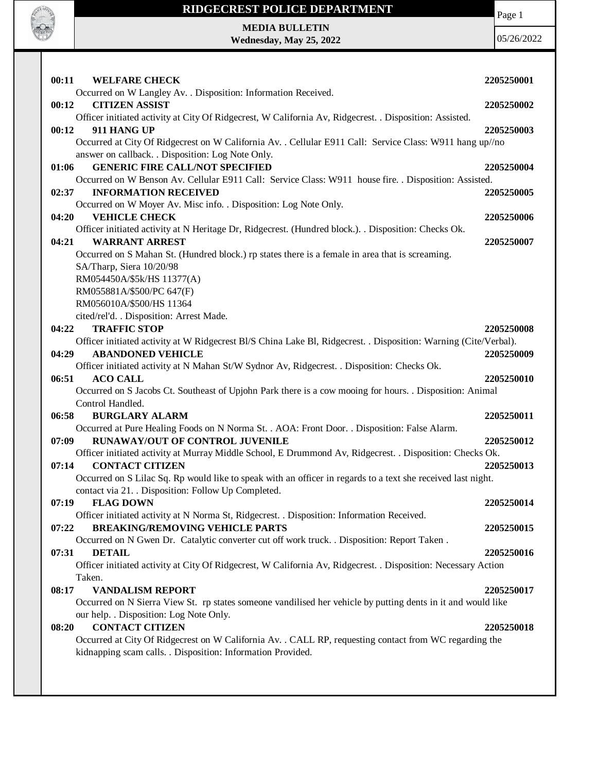

## **RIDGECREST POLICE DEPARTMENT**

Page 1

**MEDIA BULLETIN Wednesday, May 25, 2022**

| <b>WELFARE CHECK</b><br>00:11                                                                                    | 2205250001 |
|------------------------------------------------------------------------------------------------------------------|------------|
| Occurred on W Langley Av. . Disposition: Information Received.                                                   |            |
| <b>CITIZEN ASSIST</b><br>00:12                                                                                   | 2205250002 |
| Officer initiated activity at City Of Ridgecrest, W California Av, Ridgecrest. . Disposition: Assisted.          |            |
| 911 HANG UP<br>00:12                                                                                             | 2205250003 |
| Occurred at City Of Ridgecrest on W California Av. . Cellular E911 Call: Service Class: W911 hang up//no         |            |
| answer on callback. . Disposition: Log Note Only.                                                                |            |
| <b>GENERIC FIRE CALL/NOT SPECIFIED</b><br>01:06                                                                  | 2205250004 |
| Occurred on W Benson Av. Cellular E911 Call: Service Class: W911 house fire. . Disposition: Assisted.            |            |
| 02:37<br><b>INFORMATION RECEIVED</b>                                                                             | 2205250005 |
| Occurred on W Moyer Av. Misc info. . Disposition: Log Note Only.                                                 |            |
| 04:20<br><b>VEHICLE CHECK</b>                                                                                    | 2205250006 |
| Officer initiated activity at N Heritage Dr, Ridgecrest. (Hundred block.). . Disposition: Checks Ok.             |            |
| 04:21<br><b>WARRANT ARREST</b>                                                                                   | 2205250007 |
| Occurred on S Mahan St. (Hundred block.) rp states there is a female in area that is screaming.                  |            |
| SA/Tharp, Siera 10/20/98                                                                                         |            |
| RM054450A/\$5k/HS 11377(A)                                                                                       |            |
|                                                                                                                  |            |
| RM055881A/\$500/PC 647(F)<br>RM056010A/\$500/HS 11364                                                            |            |
|                                                                                                                  |            |
| cited/rel'd. . Disposition: Arrest Made.                                                                         |            |
| 04:22<br><b>TRAFFIC STOP</b>                                                                                     | 2205250008 |
| Officer initiated activity at W Ridgecrest Bl/S China Lake Bl, Ridgecrest. . Disposition: Warning (Cite/Verbal). |            |
| 04:29<br><b>ABANDONED VEHICLE</b>                                                                                | 2205250009 |
| Officer initiated activity at N Mahan St/W Sydnor Av, Ridgecrest. . Disposition: Checks Ok.                      |            |
| <b>ACO CALL</b><br>06:51                                                                                         | 2205250010 |
| Occurred on S Jacobs Ct. Southeast of Upjohn Park there is a cow mooing for hours. . Disposition: Animal         |            |
| Control Handled.                                                                                                 |            |
| 06:58<br><b>BURGLARY ALARM</b>                                                                                   | 2205250011 |
| Occurred at Pure Healing Foods on N Norma St. . AOA: Front Door. . Disposition: False Alarm.                     |            |
| RUNAWAY/OUT OF CONTROL JUVENILE<br>07:09                                                                         | 2205250012 |
| Officer initiated activity at Murray Middle School, E Drummond Av, Ridgecrest. . Disposition: Checks Ok.         |            |
| 07:14<br><b>CONTACT CITIZEN</b>                                                                                  | 2205250013 |
| Occurred on S Lilac Sq. Rp would like to speak with an officer in regards to a text she received last night.     |            |
| contact via 21. Disposition: Follow Up Completed.                                                                |            |
| 07:19<br><b>FLAG DOWN</b>                                                                                        | 2205250014 |
| Officer initiated activity at N Norma St, Ridgecrest. . Disposition: Information Received.                       |            |
| <b>BREAKING/REMOVING VEHICLE PARTS</b><br>07:22                                                                  | 2205250015 |
| Occurred on N Gwen Dr. Catalytic converter cut off work truck. . Disposition: Report Taken.                      |            |
| <b>DETAIL</b><br>07:31                                                                                           | 2205250016 |
| Officer initiated activity at City Of Ridgecrest, W California Av, Ridgecrest. . Disposition: Necessary Action   |            |
| Taken.                                                                                                           |            |
| 08:17<br><b>VANDALISM REPORT</b>                                                                                 | 2205250017 |
| Occurred on N Sierra View St. rp states someone vandilised her vehicle by putting dents in it and would like     |            |
| our help. . Disposition: Log Note Only.                                                                          |            |
| <b>CONTACT CITIZEN</b><br>08:20                                                                                  | 2205250018 |
| Occurred at City Of Ridgecrest on W California Av. . CALL RP, requesting contact from WC regarding the           |            |
| kidnapping scam calls. . Disposition: Information Provided.                                                      |            |
|                                                                                                                  |            |
|                                                                                                                  |            |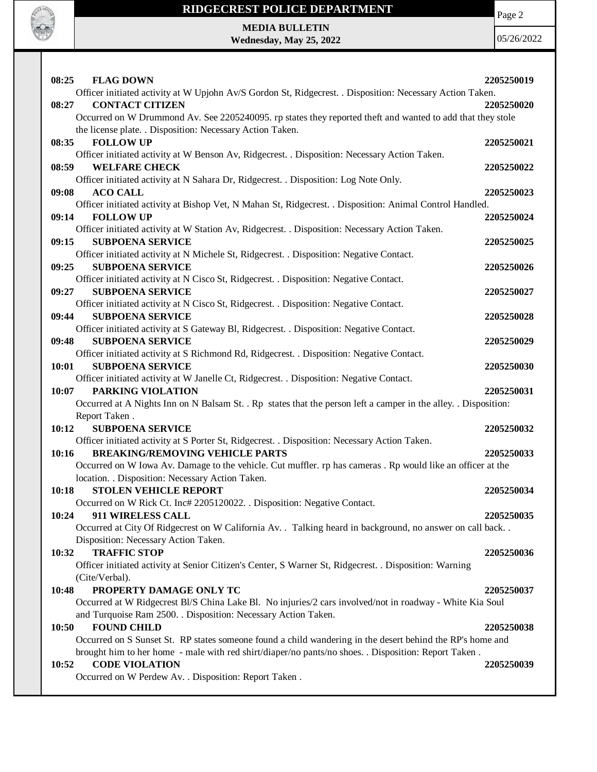

## **RIDGECREST POLICE DEPARTMENT**

Page 2

**MEDIA BULLETIN Wednesday, May 25, 2022**

| 08:25<br><b>FLAG DOWN</b>                                                                                       | 2205250019 |
|-----------------------------------------------------------------------------------------------------------------|------------|
| Officer initiated activity at W Upjohn Av/S Gordon St, Ridgecrest. . Disposition: Necessary Action Taken.       |            |
| <b>CONTACT CITIZEN</b><br>08:27                                                                                 | 2205250020 |
| Occurred on W Drummond Av. See 2205240095. rp states they reported theft and wanted to add that they stole      |            |
| the license plate. . Disposition: Necessary Action Taken.                                                       |            |
| 08:35<br><b>FOLLOW UP</b>                                                                                       | 2205250021 |
| Officer initiated activity at W Benson Av, Ridgecrest. . Disposition: Necessary Action Taken.                   |            |
| <b>WELFARE CHECK</b><br>08:59                                                                                   | 2205250022 |
| Officer initiated activity at N Sahara Dr, Ridgecrest. . Disposition: Log Note Only.                            |            |
| <b>ACO CALL</b><br>09:08                                                                                        | 2205250023 |
| Officer initiated activity at Bishop Vet, N Mahan St, Ridgecrest. . Disposition: Animal Control Handled.        |            |
| <b>FOLLOW UP</b><br>09:14                                                                                       | 2205250024 |
| Officer initiated activity at W Station Av, Ridgecrest. . Disposition: Necessary Action Taken.                  |            |
| <b>SUBPOENA SERVICE</b><br>09:15                                                                                | 2205250025 |
| Officer initiated activity at N Michele St, Ridgecrest. . Disposition: Negative Contact.                        |            |
| <b>SUBPOENA SERVICE</b><br>09:25                                                                                | 2205250026 |
| Officer initiated activity at N Cisco St, Ridgecrest. . Disposition: Negative Contact.                          |            |
| <b>SUBPOENA SERVICE</b><br>09:27                                                                                | 2205250027 |
| Officer initiated activity at N Cisco St, Ridgecrest. . Disposition: Negative Contact.                          |            |
| 09:44<br><b>SUBPOENA SERVICE</b>                                                                                | 2205250028 |
| Officer initiated activity at S Gateway Bl, Ridgecrest. . Disposition: Negative Contact.                        |            |
| <b>SUBPOENA SERVICE</b><br>09:48                                                                                | 2205250029 |
| Officer initiated activity at S Richmond Rd, Ridgecrest. . Disposition: Negative Contact.                       |            |
| <b>SUBPOENA SERVICE</b><br>10:01                                                                                | 2205250030 |
| Officer initiated activity at W Janelle Ct, Ridgecrest. . Disposition: Negative Contact.                        |            |
| PARKING VIOLATION<br>10:07                                                                                      | 2205250031 |
| Occurred at A Nights Inn on N Balsam St. . Rp states that the person left a camper in the alley. . Disposition: |            |
| Report Taken.                                                                                                   |            |
| <b>SUBPOENA SERVICE</b><br>10:12                                                                                | 2205250032 |
| Officer initiated activity at S Porter St, Ridgecrest. . Disposition: Necessary Action Taken.                   |            |
| <b>BREAKING/REMOVING VEHICLE PARTS</b><br>10:16                                                                 | 2205250033 |
| Occurred on W Iowa Av. Damage to the vehicle. Cut muffler. rp has cameras . Rp would like an officer at the     |            |
| location. . Disposition: Necessary Action Taken.                                                                |            |
| 10:18<br><b>STOLEN VEHICLE REPORT</b>                                                                           | 2205250034 |
| Occurred on W Rick Ct. Inc# 2205120022. . Disposition: Negative Contact.                                        |            |
|                                                                                                                 |            |
| 911 WIRELESS CALL<br>10:24                                                                                      | 2205250035 |
| Occurred at City Of Ridgecrest on W California Av. . Talking heard in background, no answer on call back. .     |            |
| Disposition: Necessary Action Taken.                                                                            |            |
| <b>TRAFFIC STOP</b><br>10:32                                                                                    | 2205250036 |
| Officer initiated activity at Senior Citizen's Center, S Warner St, Ridgecrest. . Disposition: Warning          |            |
| (Cite/Verbal).                                                                                                  |            |
| 10:48<br>PROPERTY DAMAGE ONLY TC                                                                                | 2205250037 |
| Occurred at W Ridgecrest Bl/S China Lake Bl. No injuries/2 cars involved/not in roadway - White Kia Soul        |            |
| and Turquoise Ram 2500. . Disposition: Necessary Action Taken.                                                  |            |
|                                                                                                                 |            |
| <b>FOUND CHILD</b><br>10:50                                                                                     | 2205250038 |
| Occurred on S Sunset St. RP states someone found a child wandering in the desert behind the RP's home and       |            |
| brought him to her home - male with red shirt/diaper/no pants/no shoes. . Disposition: Report Taken.            |            |
| <b>CODE VIOLATION</b><br>10:52<br>Occurred on W Perdew Av. . Disposition: Report Taken.                         | 2205250039 |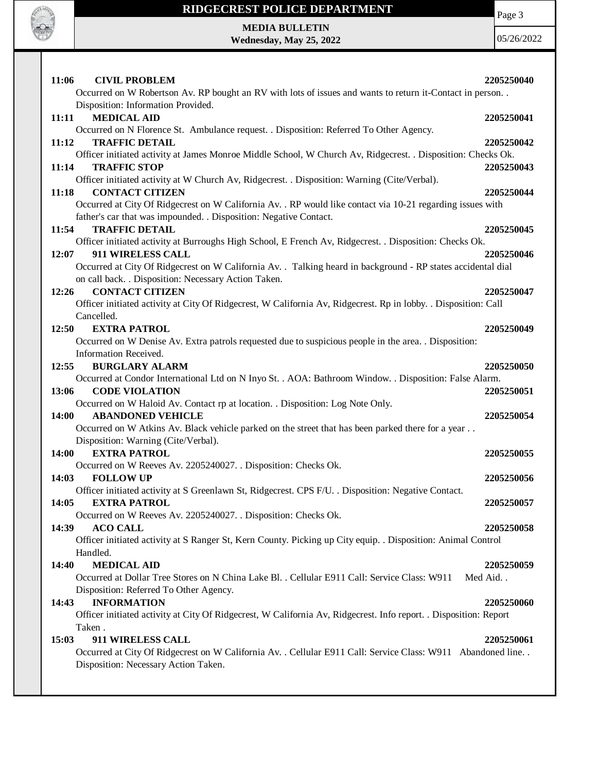

## **RIDGECREST POLICE DEPARTMENT**

Page 3

**MEDIA BULLETIN Wednesday, May 25, 2022**

| 11:06<br><b>CIVIL PROBLEM</b>                                                                                                                                                   | 2205250040 |
|---------------------------------------------------------------------------------------------------------------------------------------------------------------------------------|------------|
| Occurred on W Robertson Av. RP bought an RV with lots of issues and wants to return it-Contact in person                                                                        |            |
| Disposition: Information Provided.                                                                                                                                              |            |
| <b>MEDICAL AID</b><br>11:11                                                                                                                                                     | 2205250041 |
| Occurred on N Florence St. Ambulance request. . Disposition: Referred To Other Agency.                                                                                          |            |
| <b>TRAFFIC DETAIL</b><br>11:12                                                                                                                                                  | 2205250042 |
| Officer initiated activity at James Monroe Middle School, W Church Av, Ridgecrest. . Disposition: Checks Ok.                                                                    |            |
| <b>TRAFFIC STOP</b><br>11:14                                                                                                                                                    | 2205250043 |
| Officer initiated activity at W Church Av, Ridgecrest. . Disposition: Warning (Cite/Verbal).                                                                                    |            |
| 11:18<br><b>CONTACT CITIZEN</b>                                                                                                                                                 | 2205250044 |
| Occurred at City Of Ridgecrest on W California Av. . RP would like contact via 10-21 regarding issues with<br>father's car that was impounded. . Disposition: Negative Contact. |            |
| <b>TRAFFIC DETAIL</b><br>11:54                                                                                                                                                  | 2205250045 |
| Officer initiated activity at Burroughs High School, E French Av, Ridgecrest. . Disposition: Checks Ok.                                                                         |            |
| 911 WIRELESS CALL<br>12:07                                                                                                                                                      | 2205250046 |
| Occurred at City Of Ridgecrest on W California Av. . Talking heard in background - RP states accidental dial                                                                    |            |
| on call back. . Disposition: Necessary Action Taken.                                                                                                                            |            |
| <b>CONTACT CITIZEN</b><br>12:26                                                                                                                                                 | 2205250047 |
| Officer initiated activity at City Of Ridgecrest, W California Av, Ridgecrest. Rp in lobby. . Disposition: Call                                                                 |            |
| Cancelled.                                                                                                                                                                      |            |
| <b>EXTRA PATROL</b><br>12:50                                                                                                                                                    | 2205250049 |
| Occurred on W Denise Av. Extra patrols requested due to suspicious people in the area. . Disposition:                                                                           |            |
| Information Received.                                                                                                                                                           |            |
| 12:55<br><b>BURGLARY ALARM</b>                                                                                                                                                  | 2205250050 |
| Occurred at Condor International Ltd on N Inyo St. . AOA: Bathroom Window. . Disposition: False Alarm.                                                                          |            |
| 13:06<br><b>CODE VIOLATION</b>                                                                                                                                                  | 2205250051 |
| Occurred on W Haloid Av. Contact rp at location. . Disposition: Log Note Only.                                                                                                  |            |
| <b>ABANDONED VEHICLE</b><br><b>14:00</b>                                                                                                                                        | 2205250054 |
| Occurred on W Atkins Av. Black vehicle parked on the street that has been parked there for a year                                                                               |            |
| Disposition: Warning (Cite/Verbal).                                                                                                                                             |            |
| 14:00<br><b>EXTRA PATROL</b>                                                                                                                                                    | 2205250055 |
| Occurred on W Reeves Av. 2205240027. . Disposition: Checks Ok.                                                                                                                  |            |
| <b>FOLLOW UP</b><br>14:03                                                                                                                                                       | 2205250056 |
| Officer initiated activity at S Greenlawn St, Ridgecrest. CPS F/U. . Disposition: Negative Contact.                                                                             |            |
| 14:05<br><b>EXTRA PATROL</b>                                                                                                                                                    | 2205250057 |
| Occurred on W Reeves Av. 2205240027. . Disposition: Checks Ok.<br><b>ACO CALL</b>                                                                                               |            |
| 14:39<br>Officer initiated activity at S Ranger St, Kern County. Picking up City equip. . Disposition: Animal Control                                                           | 2205250058 |
| Handled.                                                                                                                                                                        |            |
| <b>MEDICAL AID</b><br>14:40                                                                                                                                                     | 2205250059 |
| Occurred at Dollar Tree Stores on N China Lake Bl. . Cellular E911 Call: Service Class: W911                                                                                    | Med Aid    |
| Disposition: Referred To Other Agency.                                                                                                                                          |            |
| <b>INFORMATION</b><br>14:43                                                                                                                                                     | 2205250060 |
| Officer initiated activity at City Of Ridgecrest, W California Av, Ridgecrest. Info report. . Disposition: Report                                                               |            |
| Taken.                                                                                                                                                                          |            |
| 15:03<br>911 WIRELESS CALL                                                                                                                                                      | 2205250061 |
| Occurred at City Of Ridgecrest on W California Av. . Cellular E911 Call: Service Class: W911 Abandoned line. .                                                                  |            |
| Disposition: Necessary Action Taken.                                                                                                                                            |            |
|                                                                                                                                                                                 |            |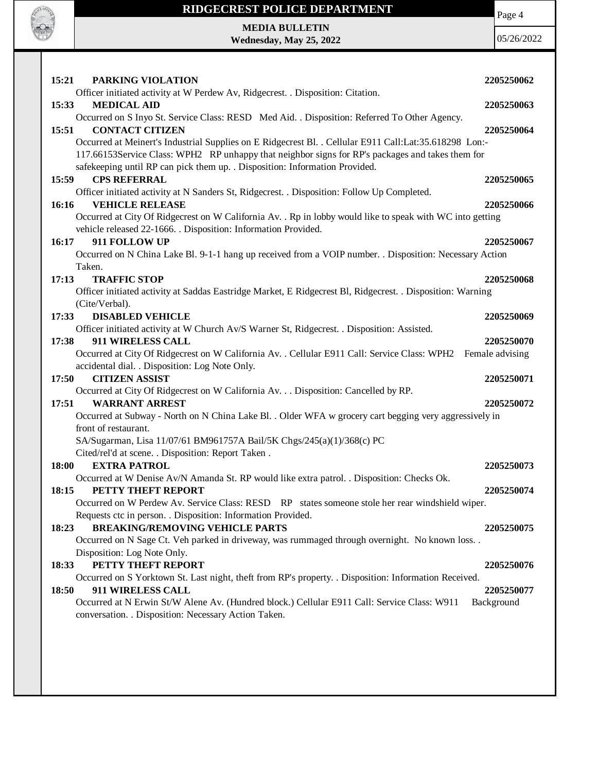